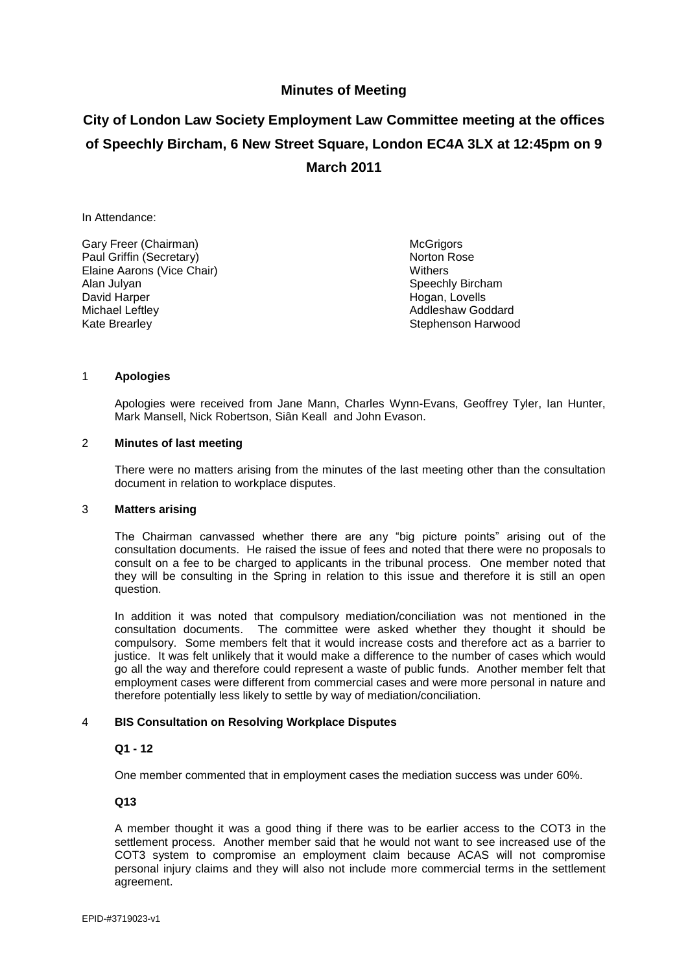# **Minutes of Meeting**

# **City of London Law Society Employment Law Committee meeting at the offices of Speechly Bircham, 6 New Street Square, London EC4A 3LX at 12:45pm on 9 March 2011**

In Attendance:

Gary Freer (Chairman) and the Chairman McGrigors and McGrigors and McGrigors and McGrigors and McGrigors and McGrigors and McGrigors and McGrigors and McGrigors and McGrigors and McGrigors and McGrigors and McGrigors and M Paul Griffin (Secretary) Norton Rose Norton Rose Elaine Aarons (Vice Chair) Withers Alan Julyan Number of Contract of the Speechly Bircham David Harper North Contract Contract Contract Contract Contract Contract Contract Contract Contract Contract Contract Contract Contract Contract Contract Contract Contract Contract Contract Contract Contract Contract Contr Kate Brearley **Stephenson Harwood** Stephenson Harwood

Addleshaw Goddard

## 1 **Apologies**

Apologies were received from Jane Mann, Charles Wynn-Evans, Geoffrey Tyler, Ian Hunter, Mark Mansell, Nick Robertson, Siân Keall and John Evason.

## 2 **Minutes of last meeting**

There were no matters arising from the minutes of the last meeting other than the consultation document in relation to workplace disputes.

# 3 **Matters arising**

The Chairman canvassed whether there are any "big picture points" arising out of the consultation documents. He raised the issue of fees and noted that there were no proposals to consult on a fee to be charged to applicants in the tribunal process. One member noted that they will be consulting in the Spring in relation to this issue and therefore it is still an open question.

In addition it was noted that compulsory mediation/conciliation was not mentioned in the consultation documents. The committee were asked whether they thought it should be compulsory. Some members felt that it would increase costs and therefore act as a barrier to justice. It was felt unlikely that it would make a difference to the number of cases which would go all the way and therefore could represent a waste of public funds. Another member felt that employment cases were different from commercial cases and were more personal in nature and therefore potentially less likely to settle by way of mediation/conciliation.

## 4 **BIS Consultation on Resolving Workplace Disputes**

## **Q1 - 12**

One member commented that in employment cases the mediation success was under 60%.

# **Q13**

A member thought it was a good thing if there was to be earlier access to the COT3 in the settlement process. Another member said that he would not want to see increased use of the COT3 system to compromise an employment claim because ACAS will not compromise personal injury claims and they will also not include more commercial terms in the settlement agreement.